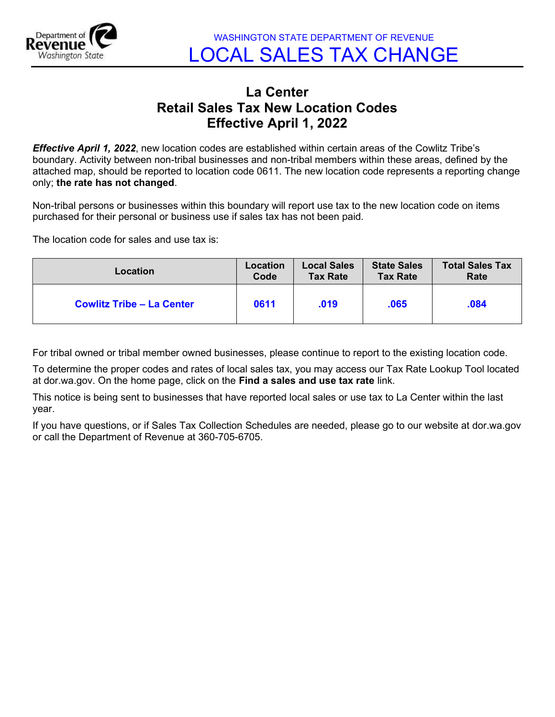

WASHINGTON STATE DEPARTMENT OF REVENUE LOCAL SALES TAX CHANGE

## La Center Retail Sales Tax New Location Codes Effective April 1, 2022

**Effective April 1, 2022**, new location codes are established within certain areas of the Cowlitz Tribe's boundary. Activity between non-tribal businesses and non-tribal members within these areas, defined by the attached map, should be reported to location code 0611. The new location code represents a reporting change only; the rate has not changed.

Non-tribal persons or businesses within this boundary will report use tax to the new location code on items purchased for their personal or business use if sales tax has not been paid.

The location code for sales and use tax is:

| Location                         | Location | <b>Local Sales</b> | <b>State Sales</b> | <b>Total Sales Tax</b> |
|----------------------------------|----------|--------------------|--------------------|------------------------|
|                                  | Code     | <b>Tax Rate</b>    | <b>Tax Rate</b>    | Rate                   |
| <b>Cowlitz Tribe - La Center</b> | 0611     | .019               | .065               | .084                   |

For tribal owned or tribal member owned businesses, please continue to report to the existing location code.

To determine the proper codes and rates of local sales tax, you may access our Tax Rate Lookup Tool located at dor.wa.gov. On the home page, click on the Find a sales and use tax rate link.

This notice is being sent to businesses that have reported local sales or use tax to La Center within the last year.

If you have questions, or if Sales Tax Collection Schedules are needed, please go to our website at dor.wa.gov or call the Department of Revenue at 360-705-6705.